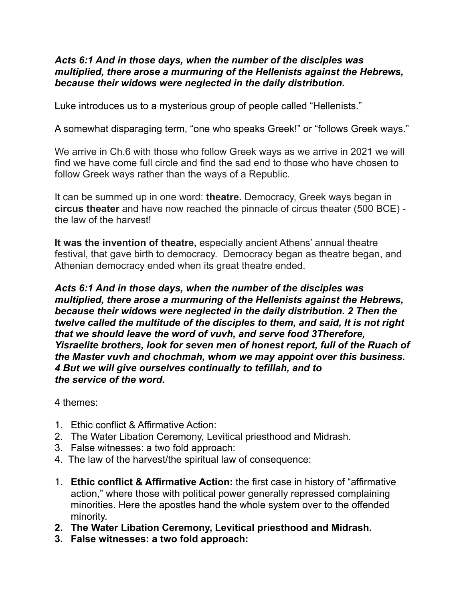## *Acts 6:1 And in those days, when the number of the disciples was multiplied, there arose a murmuring of the Hellenists against the Hebrews, because their widows were neglected in the daily distribution.*

Luke introduces us to a mysterious group of people called "Hellenists."

A somewhat disparaging term, "one who speaks Greek!" or "follows Greek ways."

We arrive in Ch.6 with those who follow Greek ways as we arrive in 2021 we will find we have come full circle and find the sad end to those who have chosen to follow Greek ways rather than the ways of a Republic.

It can be summed up in one word: **theatre.** Democracy, Greek ways began in **circus theater** and have now reached the pinnacle of circus theater (500 BCE) the law of the harvest!

**It was the invention of theatre,** especially ancient Athens' annual theatre festival, that gave birth to democracy. Democracy began as theatre began, and Athenian democracy ended when its great theatre ended.

*Acts 6:1 And in those days, when the number of the disciples was multiplied, there arose a murmuring of the Hellenists against the Hebrews, because their widows were neglected in the daily distribution. 2 Then the twelve called the multitude of the disciples to them, and said, It is not right that we should leave the word of vuvh, and serve food 3Therefore, Yisraelite brothers, look for seven men of honest report, full of the Ruach of the Master vuvh and chochmah, whom we may appoint over this business. 4 But we will give ourselves continually to tefillah, and to the service of the word.* 

4 themes:

- 1. Ethic conflict & Affirmative Action:
- 2. The Water Libation Ceremony, Levitical priesthood and Midrash.
- 3. False witnesses: a two fold approach:
- 4. The law of the harvest/the spiritual law of consequence:
- 1. **Ethic conflict & Affirmative Action:** the first case in history of "affirmative action," where those with political power generally repressed complaining minorities. Here the apostles hand the whole system over to the offended minority.
- **2. The Water Libation Ceremony, Levitical priesthood and Midrash.**
- **3. False witnesses: a two fold approach:**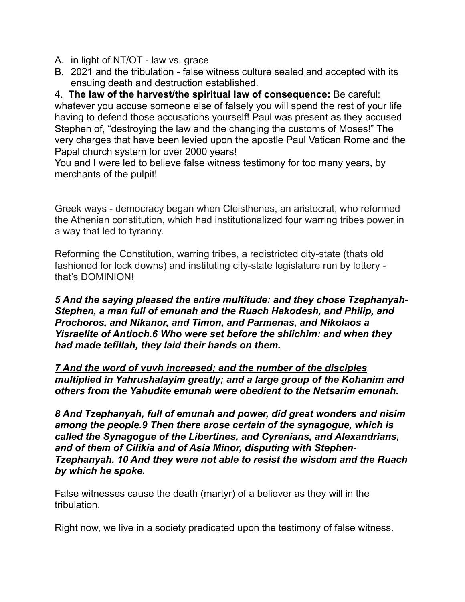- A. in light of NT/OT law vs. grace
- B. 2021 and the tribulation false witness culture sealed and accepted with its ensuing death and destruction established.

4. **The law of the harvest/the spiritual law of consequence:** Be careful: whatever you accuse someone else of falsely you will spend the rest of your life having to defend those accusations yourself! Paul was present as they accused Stephen of, "destroying the law and the changing the customs of Moses!" The very charges that have been levied upon the apostle Paul Vatican Rome and the Papal church system for over 2000 years!

You and I were led to believe false witness testimony for too many years, by merchants of the pulpit!

Greek ways - democracy began when Cleisthenes, an aristocrat, who reformed the Athenian constitution, which had institutionalized four warring tribes power in a way that led to tyranny.

Reforming the Constitution, warring tribes, a redistricted city-state (thats old fashioned for lock downs) and instituting city-state legislature run by lottery that's DOMINION!

*5 And the saying pleased the entire multitude: and they chose Tzephanyah-Stephen, a man full of emunah and the Ruach Hakodesh, and Philip, and Prochoros, and Nikanor, and Timon, and Parmenas, and Nikolaos a Yisraelite of Antioch.6 Who were set before the shlichim: and when they had made tefillah, they laid their hands on them.* 

*7 And the word of vuvh increased; and the number of the disciples multiplied in Yahrushalayim greatly; and a large group of the Kohanim and others from the Yahudite emunah were obedient to the Netsarim emunah.* 

*8 And Tzephanyah, full of emunah and power, did great wonders and nisim among the people.9 Then there arose certain of the synagogue, which is called the Synagogue of the Libertines, and Cyrenians, and Alexandrians, and of them of Cilikia and of Asia Minor, disputing with Stephen-Tzephanyah. 10 And they were not able to resist the wisdom and the Ruach by which he spoke.* 

False witnesses cause the death (martyr) of a believer as they will in the tribulation.

Right now, we live in a society predicated upon the testimony of false witness.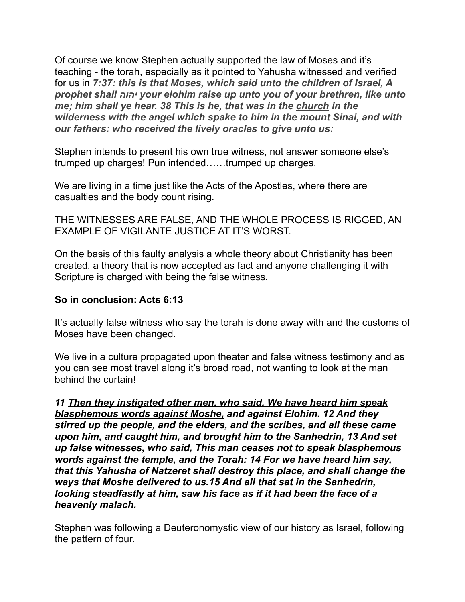Of course we know Stephen actually supported the law of Moses and it's teaching - the torah, especially as it pointed to Yahusha witnessed and verified for us in *7:37: this is that Moses, which said unto the children of Israel, A prophet shall יהוה your elohim raise up unto you of your brethren, like unto me; him shall ye hear. 38 This is he, that was in the church in the wilderness with the angel which spake to him in the mount Sinai, and with our fathers: who received the lively oracles to give unto us:* 

Stephen intends to present his own true witness, not answer someone else's trumped up charges! Pun intended……trumped up charges.

We are living in a time just like the Acts of the Apostles, where there are casualties and the body count rising.

THE WITNESSES ARE FALSE, AND THE WHOLE PROCESS IS RIGGED, AN EXAMPLE OF VIGILANTE JUSTICE AT IT'S WORST.

On the basis of this faulty analysis a whole theory about Christianity has been created, a theory that is now accepted as fact and anyone challenging it with Scripture is charged with being the false witness.

## **So in conclusion: Acts 6:13**

It's actually false witness who say the torah is done away with and the customs of Moses have been changed.

We live in a culture propagated upon theater and false witness testimony and as you can see most travel along it's broad road, not wanting to look at the man behind the curtain!

*11 Then they instigated other men, who said, We have heard him speak blasphemous words against Moshe, and against Elohim. 12 And they stirred up the people, and the elders, and the scribes, and all these came upon him, and caught him, and brought him to the Sanhedrin, 13 And set up false witnesses, who said, This man ceases not to speak blasphemous words against the temple, and the Torah: 14 For we have heard him say, that this Yahusha of Natzeret shall destroy this place, and shall change the ways that Moshe delivered to us.15 And all that sat in the Sanhedrin, looking steadfastly at him, saw his face as if it had been the face of a heavenly malach.* 

Stephen was following a Deuteronomystic view of our history as Israel, following the pattern of four.